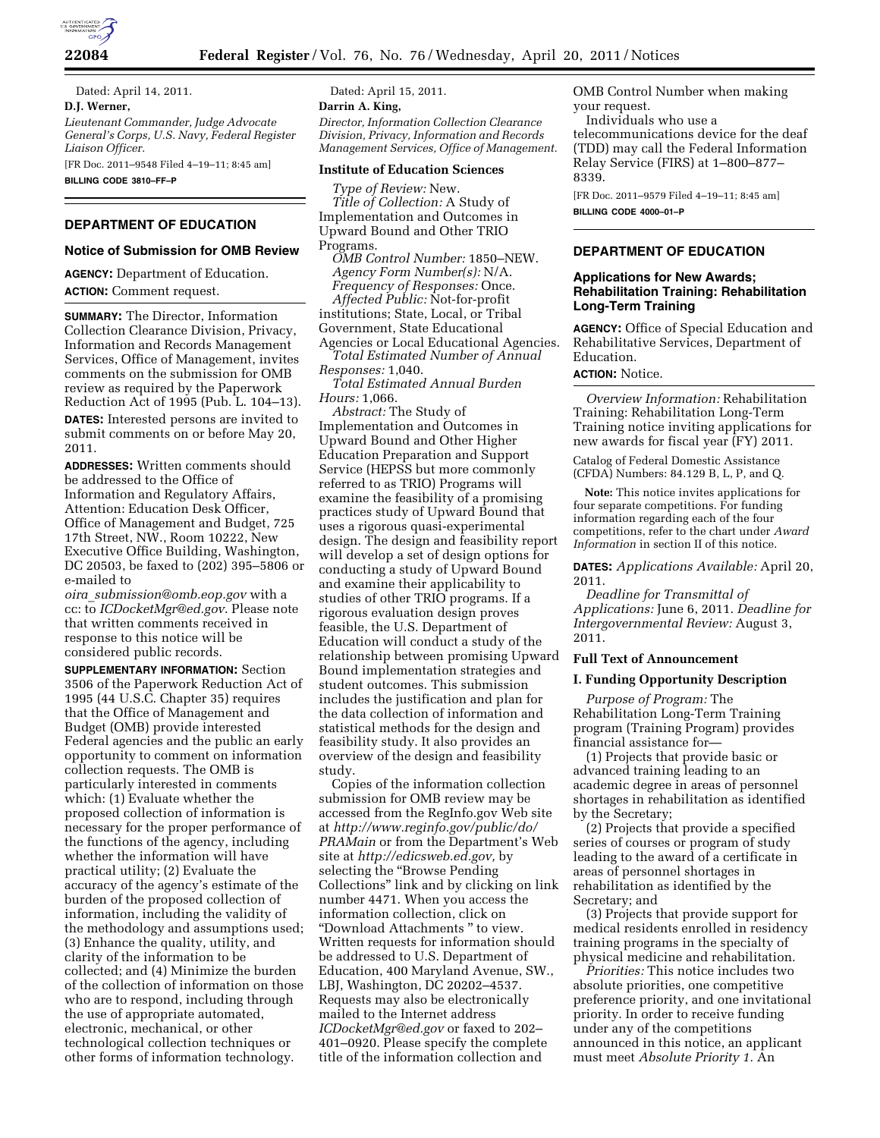

Dated: April 14, 2011. **D.J. Werner,**  *Lieutenant Commander, Judge Advocate General's Corps, U.S. Navy, Federal Register Liaison Officer.* 

[FR Doc. 2011–9548 Filed 4–19–11; 8:45 am] **BILLING CODE 3810–FF–P** 

# **DEPARTMENT OF EDUCATION**

# **Notice of Submission for OMB Review**

**AGENCY:** Department of Education. **ACTION:** Comment request.

**SUMMARY:** The Director, Information Collection Clearance Division, Privacy, Information and Records Management Services, Office of Management, invites comments on the submission for OMB review as required by the Paperwork Reduction Act of 1995 (Pub. L. 104–13).

**DATES:** Interested persons are invited to submit comments on or before May 20, 2011.

**ADDRESSES:** Written comments should be addressed to the Office of Information and Regulatory Affairs, Attention: Education Desk Officer, Office of Management and Budget, 725 17th Street, NW., Room 10222, New Executive Office Building, Washington, DC 20503, be faxed to (202) 395–5806 or e-mailed to

*oira*\_*[submission@omb.eop.gov](mailto:oira_submission@omb.eop.gov)* with a cc: to *[ICDocketMgr@ed.gov](mailto:ICDocketMgr@ed.gov)*. Please note that written comments received in response to this notice will be considered public records.

**SUPPLEMENTARY INFORMATION:** Section 3506 of the Paperwork Reduction Act of 1995 (44 U.S.C. Chapter 35) requires that the Office of Management and Budget (OMB) provide interested Federal agencies and the public an early opportunity to comment on information collection requests. The OMB is particularly interested in comments which: (1) Evaluate whether the proposed collection of information is necessary for the proper performance of the functions of the agency, including whether the information will have practical utility; (2) Evaluate the accuracy of the agency's estimate of the burden of the proposed collection of information, including the validity of the methodology and assumptions used; (3) Enhance the quality, utility, and clarity of the information to be collected; and (4) Minimize the burden of the collection of information on those who are to respond, including through the use of appropriate automated, electronic, mechanical, or other technological collection techniques or other forms of information technology.

Dated: April 15, 2011.

#### **Darrin A. King,**

*Director, Information Collection Clearance Division, Privacy, Information and Records Management Services, Office of Management.* 

#### **Institute of Education Sciences**

*Type of Review:* New. *Title of Collection:* A Study of Implementation and Outcomes in Upward Bound and Other TRIO Programs.

*OMB Control Number:* 1850–NEW. *Agency Form Number(s):* N/A. *Frequency of Responses:* Once. *Affected Public:* Not-for-profit institutions; State, Local, or Tribal Government, State Educational

Agencies or Local Educational Agencies. *Total Estimated Number of Annual* 

*Responses:* 1,040.

*Total Estimated Annual Burden Hours:* 1,066.

*Abstract:* The Study of Implementation and Outcomes in Upward Bound and Other Higher Education Preparation and Support Service (HEPSS but more commonly referred to as TRIO) Programs will examine the feasibility of a promising practices study of Upward Bound that uses a rigorous quasi-experimental design. The design and feasibility report will develop a set of design options for conducting a study of Upward Bound and examine their applicability to studies of other TRIO programs. If a rigorous evaluation design proves feasible, the U.S. Department of Education will conduct a study of the relationship between promising Upward Bound implementation strategies and student outcomes. This submission includes the justification and plan for the data collection of information and statistical methods for the design and feasibility study. It also provides an overview of the design and feasibility study.

Copies of the information collection submission for OMB review may be accessed from the RegInfo.gov Web site at *[http://www.reginfo.gov/public/do/](http://www.reginfo.gov/public/do/PRAMain) [PRAMain](http://www.reginfo.gov/public/do/PRAMain)* or from the Department's Web site at *[http://edicsweb.ed.gov,](http://edicsweb.ed.gov)* by selecting the ''Browse Pending Collections'' link and by clicking on link number 4471. When you access the information collection, click on ''Download Attachments '' to view. Written requests for information should be addressed to U.S. Department of Education, 400 Maryland Avenue, SW., LBJ, Washington, DC 20202–4537. Requests may also be electronically mailed to the Internet address *[ICDocketMgr@ed.gov](mailto:ICDocketMgr@ed.gov)* or faxed to 202– 401–0920. Please specify the complete title of the information collection and

OMB Control Number when making your request.

Individuals who use a telecommunications device for the deaf (TDD) may call the Federal Information Relay Service (FIRS) at 1–800–877– 8339.

[FR Doc. 2011–9579 Filed 4–19–11; 8:45 am] **BILLING CODE 4000–01–P** 

# **DEPARTMENT OF EDUCATION**

## **Applications for New Awards; Rehabilitation Training: Rehabilitation Long-Term Training**

**AGENCY:** Office of Special Education and Rehabilitative Services, Department of Education.

## **ACTION:** Notice.

*Overview Information:* Rehabilitation Training: Rehabilitation Long-Term Training notice inviting applications for new awards for fiscal year (FY) 2011.

Catalog of Federal Domestic Assistance (CFDA) Numbers: 84.129 B, L, P, and Q.

**Note:** This notice invites applications for four separate competitions. For funding information regarding each of the four competitions, refer to the chart under *Award Information* in section II of this notice.

**DATES:** *Applications Available:* April 20, 2011.

*Deadline for Transmittal of Applications:* June 6, 2011. *Deadline for Intergovernmental Review:* August 3, 2011.

# **Full Text of Announcement**

## **I. Funding Opportunity Description**

*Purpose of Program:* The Rehabilitation Long-Term Training program (Training Program) provides financial assistance for—

(1) Projects that provide basic or advanced training leading to an academic degree in areas of personnel shortages in rehabilitation as identified by the Secretary;

(2) Projects that provide a specified series of courses or program of study leading to the award of a certificate in areas of personnel shortages in rehabilitation as identified by the Secretary; and

(3) Projects that provide support for medical residents enrolled in residency training programs in the specialty of physical medicine and rehabilitation.

*Priorities:* This notice includes two absolute priorities, one competitive preference priority, and one invitational priority. In order to receive funding under any of the competitions announced in this notice, an applicant must meet *Absolute Priority 1.* An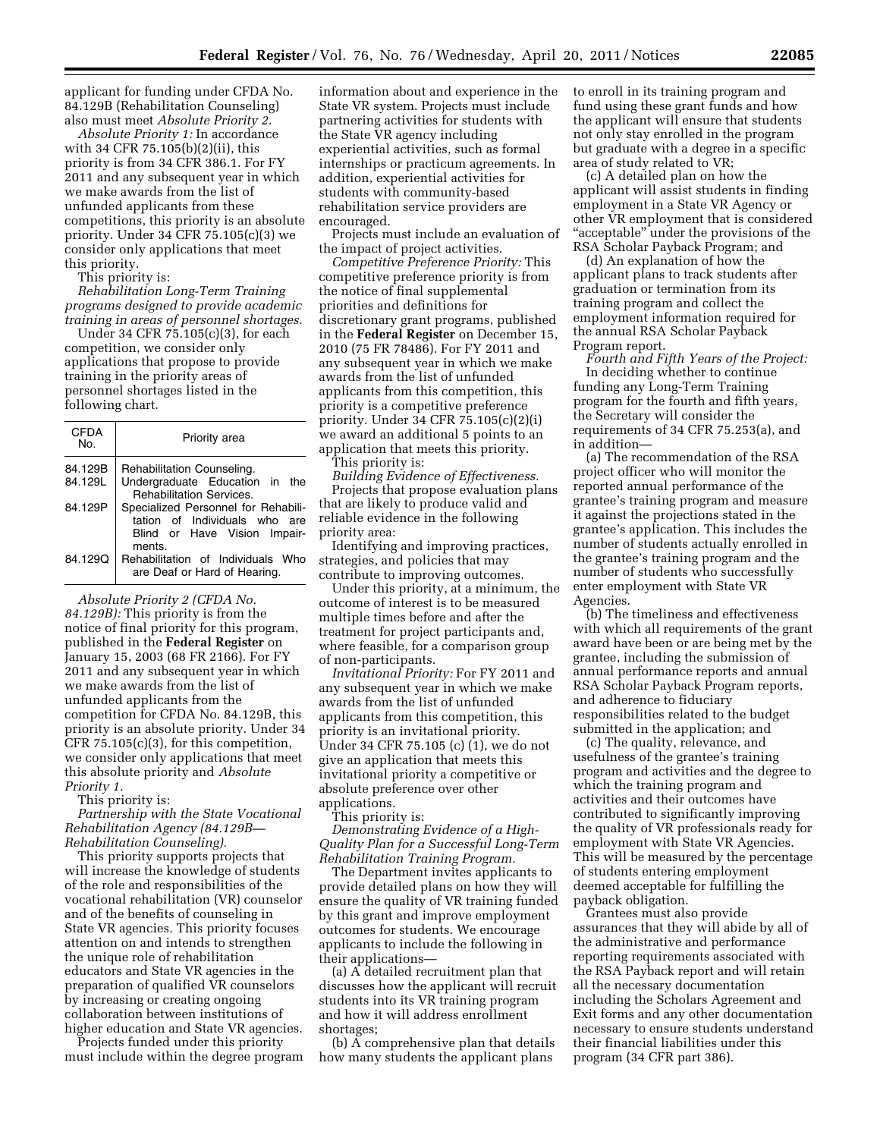applicant for funding under CFDA No. 84.129B (Rehabilitation Counseling) also must meet *Absolute Priority 2.* 

*Absolute Priority 1:* In accordance with 34 CFR 75.105(b)(2)(ii), this priority is from 34 CFR 386.1. For FY 2011 and any subsequent year in which we make awards from the list of unfunded applicants from these competitions, this priority is an absolute priority. Under 34 CFR 75.105(c)(3) we consider only applications that meet this priority.

This priority is:

*Rehabilitation Long-Term Training programs designed to provide academic training in areas of personnel shortages.* 

Under 34 CFR 75.105(c)(3), for each competition, we consider only applications that propose to provide training in the priority areas of personnel shortages listed in the following chart.

| CFDA<br>N∩ | Priority area                                                                                                  |
|------------|----------------------------------------------------------------------------------------------------------------|
| 84.129B    | Rehabilitation Counseling.                                                                                     |
| 84.129L    | Undergraduate Education in the<br><b>Rehabilitation Services.</b>                                              |
| 84.129P    | Specialized Personnel for Rehabili-<br>tation of Individuals who are<br>Blind or Have Vision Impair-<br>ments. |
| 84.129Q    | Rehabilitation of Individuals Who<br>are Deaf or Hard of Hearing.                                              |

*Absolute Priority 2 (CFDA No. 84.129B):* This priority is from the notice of final priority for this program, published in the **Federal Register** on January 15, 2003 (68 FR 2166). For FY 2011 and any subsequent year in which we make awards from the list of unfunded applicants from the competition for CFDA No. 84.129B, this priority is an absolute priority. Under 34 CFR 75.105(c)(3), for this competition, we consider only applications that meet this absolute priority and *Absolute Priority 1.* 

This priority is:

*Partnership with the State Vocational Rehabilitation Agency (84.129B— Rehabilitation Counseling).* 

This priority supports projects that will increase the knowledge of students of the role and responsibilities of the vocational rehabilitation (VR) counselor and of the benefits of counseling in State VR agencies. This priority focuses attention on and intends to strengthen the unique role of rehabilitation educators and State VR agencies in the preparation of qualified VR counselors by increasing or creating ongoing collaboration between institutions of higher education and State VR agencies.

Projects funded under this priority must include within the degree program

information about and experience in the State VR system. Projects must include partnering activities for students with the State VR agency including experiential activities, such as formal internships or practicum agreements. In addition, experiential activities for students with community-based rehabilitation service providers are encouraged.

Projects must include an evaluation of the impact of project activities.

*Competitive Preference Priority:* This competitive preference priority is from the notice of final supplemental priorities and definitions for discretionary grant programs, published in the **Federal Register** on December 15, 2010 (75 FR 78486). For FY 2011 and any subsequent year in which we make awards from the list of unfunded applicants from this competition, this priority is a competitive preference priority. Under 34 CFR 75.105(c)(2)(i) we award an additional 5 points to an application that meets this priority.

This priority is:

*Building Evidence of Effectiveness.*  Projects that propose evaluation plans that are likely to produce valid and reliable evidence in the following priority area:

Identifying and improving practices, strategies, and policies that may contribute to improving outcomes.

Under this priority, at a minimum, the outcome of interest is to be measured multiple times before and after the treatment for project participants and, where feasible, for a comparison group of non-participants.

*Invitational Priority:* For FY 2011 and any subsequent year in which we make awards from the list of unfunded applicants from this competition, this priority is an invitational priority. Under 34 CFR 75.105 (c) (1), we do not give an application that meets this invitational priority a competitive or absolute preference over other applications.

This priority is:

*Demonstrating Evidence of a High-Quality Plan for a Successful Long-Term Rehabilitation Training Program.* 

The Department invites applicants to provide detailed plans on how they will ensure the quality of VR training funded by this grant and improve employment outcomes for students. We encourage applicants to include the following in their applications—

(a) A detailed recruitment plan that discusses how the applicant will recruit students into its VR training program and how it will address enrollment shortages;

(b) A comprehensive plan that details how many students the applicant plans

to enroll in its training program and fund using these grant funds and how the applicant will ensure that students not only stay enrolled in the program but graduate with a degree in a specific area of study related to VR;

(c) A detailed plan on how the applicant will assist students in finding employment in a State VR Agency or other VR employment that is considered "acceptable" under the provisions of the RSA Scholar Payback Program; and

(d) An explanation of how the applicant plans to track students after graduation or termination from its training program and collect the employment information required for the annual RSA Scholar Payback Program report.

*Fourth and Fifth Years of the Project:*  In deciding whether to continue funding any Long-Term Training program for the fourth and fifth years, the Secretary will consider the requirements of 34 CFR 75.253(a), and in addition—

(a) The recommendation of the RSA project officer who will monitor the reported annual performance of the grantee's training program and measure it against the projections stated in the grantee's application. This includes the number of students actually enrolled in the grantee's training program and the number of students who successfully enter employment with State VR Agencies.

(b) The timeliness and effectiveness with which all requirements of the grant award have been or are being met by the grantee, including the submission of annual performance reports and annual RSA Scholar Payback Program reports, and adherence to fiduciary responsibilities related to the budget submitted in the application; and

(c) The quality, relevance, and usefulness of the grantee's training program and activities and the degree to which the training program and activities and their outcomes have contributed to significantly improving the quality of VR professionals ready for employment with State VR Agencies. This will be measured by the percentage of students entering employment deemed acceptable for fulfilling the payback obligation.

Grantees must also provide assurances that they will abide by all of the administrative and performance reporting requirements associated with the RSA Payback report and will retain all the necessary documentation including the Scholars Agreement and Exit forms and any other documentation necessary to ensure students understand their financial liabilities under this program (34 CFR part 386).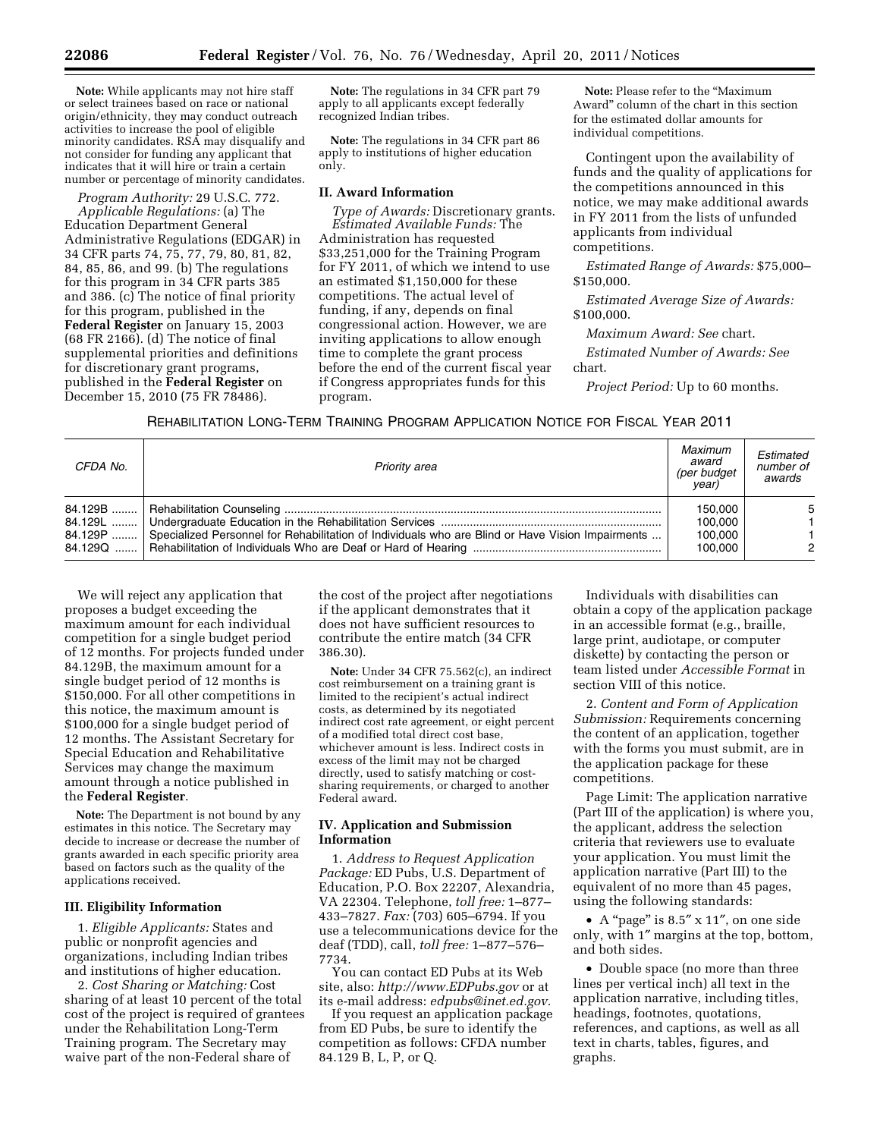**Note:** While applicants may not hire staff or select trainees based on race or national origin/ethnicity, they may conduct outreach activities to increase the pool of eligible minority candidates. RSA may disqualify and not consider for funding any applicant that indicates that it will hire or train a certain number or percentage of minority candidates.

*Program Authority:* 29 U.S.C. 772. *Applicable Regulations:* (a) The Education Department General Administrative Regulations (EDGAR) in 34 CFR parts 74, 75, 77, 79, 80, 81, 82, 84, 85, 86, and 99. (b) The regulations for this program in 34 CFR parts 385 and 386. (c) The notice of final priority for this program, published in the **Federal Register** on January 15, 2003 (68 FR 2166). (d) The notice of final supplemental priorities and definitions for discretionary grant programs, published in the **Federal Register** on December 15, 2010 (75 FR 78486).

**Note:** The regulations in 34 CFR part 79 apply to all applicants except federally recognized Indian tribes.

**Note:** The regulations in 34 CFR part 86 apply to institutions of higher education only.

#### **II. Award Information**

*Type of Awards:* Discretionary grants. *Estimated Available Funds:* The Administration has requested \$33,251,000 for the Training Program for FY 2011, of which we intend to use an estimated \$1,150,000 for these competitions. The actual level of funding, if any, depends on final congressional action. However, we are inviting applications to allow enough time to complete the grant process before the end of the current fiscal year if Congress appropriates funds for this program.

**Note:** Please refer to the ''Maximum Award'' column of the chart in this section for the estimated dollar amounts for individual competitions.

Contingent upon the availability of funds and the quality of applications for the competitions announced in this notice, we may make additional awards in FY 2011 from the lists of unfunded applicants from individual competitions.

*Estimated Range of Awards:* \$75,000– \$150,000.

*Estimated Average Size of Awards:*  \$100,000.

*Maximum Award: See* chart.

*Estimated Number of Awards: See*  chart.

*Project Period:* Up to 60 months.

REHABILITATION LONG-TERM TRAINING PROGRAM APPLICATION NOTICE FOR FISCAL YEAR 2011

| CFDA No. | Priority area                                                                                             | Maximum<br>award<br>(per budget<br>vear) | Estimated<br>number of<br>awards |
|----------|-----------------------------------------------------------------------------------------------------------|------------------------------------------|----------------------------------|
|          | 84.129P  Specialized Personnel for Rehabilitation of Individuals who are Blind or Have Vision Impairments | 150.000<br>100.000<br>100.000<br>100.000 | 5<br>$\mathcal{P}$               |

We will reject any application that proposes a budget exceeding the maximum amount for each individual competition for a single budget period of 12 months. For projects funded under 84.129B, the maximum amount for a single budget period of 12 months is \$150,000. For all other competitions in this notice, the maximum amount is \$100,000 for a single budget period of 12 months. The Assistant Secretary for Special Education and Rehabilitative Services may change the maximum amount through a notice published in the **Federal Register**.

**Note:** The Department is not bound by any estimates in this notice. The Secretary may decide to increase or decrease the number of grants awarded in each specific priority area based on factors such as the quality of the applications received.

# **III. Eligibility Information**

1. *Eligible Applicants:* States and public or nonprofit agencies and organizations, including Indian tribes and institutions of higher education.

2. *Cost Sharing or Matching:* Cost sharing of at least 10 percent of the total cost of the project is required of grantees under the Rehabilitation Long-Term Training program. The Secretary may waive part of the non-Federal share of

the cost of the project after negotiations if the applicant demonstrates that it does not have sufficient resources to contribute the entire match (34 CFR 386.30).

**Note:** Under 34 CFR 75.562(c), an indirect cost reimbursement on a training grant is limited to the recipient's actual indirect costs, as determined by its negotiated indirect cost rate agreement, or eight percent of a modified total direct cost base, whichever amount is less. Indirect costs in excess of the limit may not be charged directly, used to satisfy matching or costsharing requirements, or charged to another Federal award.

#### **IV. Application and Submission Information**

1. *Address to Request Application Package:* ED Pubs, U.S. Department of Education, P.O. Box 22207, Alexandria, VA 22304. Telephone, *toll free:* 1–877– 433–7827. *Fax:* (703) 605–6794. If you use a telecommunications device for the deaf (TDD), call, *toll free:* 1–877–576– 7734.

You can contact ED Pubs at its Web site, also: *<http://www.EDPubs.gov>* or at its e-mail address: *[edpubs@inet.ed.gov.](mailto:edpubs@inet.ed.gov)* 

If you request an application package from ED Pubs, be sure to identify the competition as follows: CFDA number 84.129 B, L, P, or Q.

Individuals with disabilities can obtain a copy of the application package in an accessible format (e.g., braille, large print, audiotape, or computer diskette) by contacting the person or team listed under *Accessible Format* in section VIII of this notice.

2. *Content and Form of Application Submission:* Requirements concerning the content of an application, together with the forms you must submit, are in the application package for these competitions.

Page Limit: The application narrative (Part III of the application) is where you, the applicant, address the selection criteria that reviewers use to evaluate your application. You must limit the application narrative (Part III) to the equivalent of no more than 45 pages, using the following standards:

• A "page" is 8.5" x 11", on one side only, with 1″ margins at the top, bottom, and both sides.

• Double space (no more than three lines per vertical inch) all text in the application narrative, including titles, headings, footnotes, quotations, references, and captions, as well as all text in charts, tables, figures, and graphs.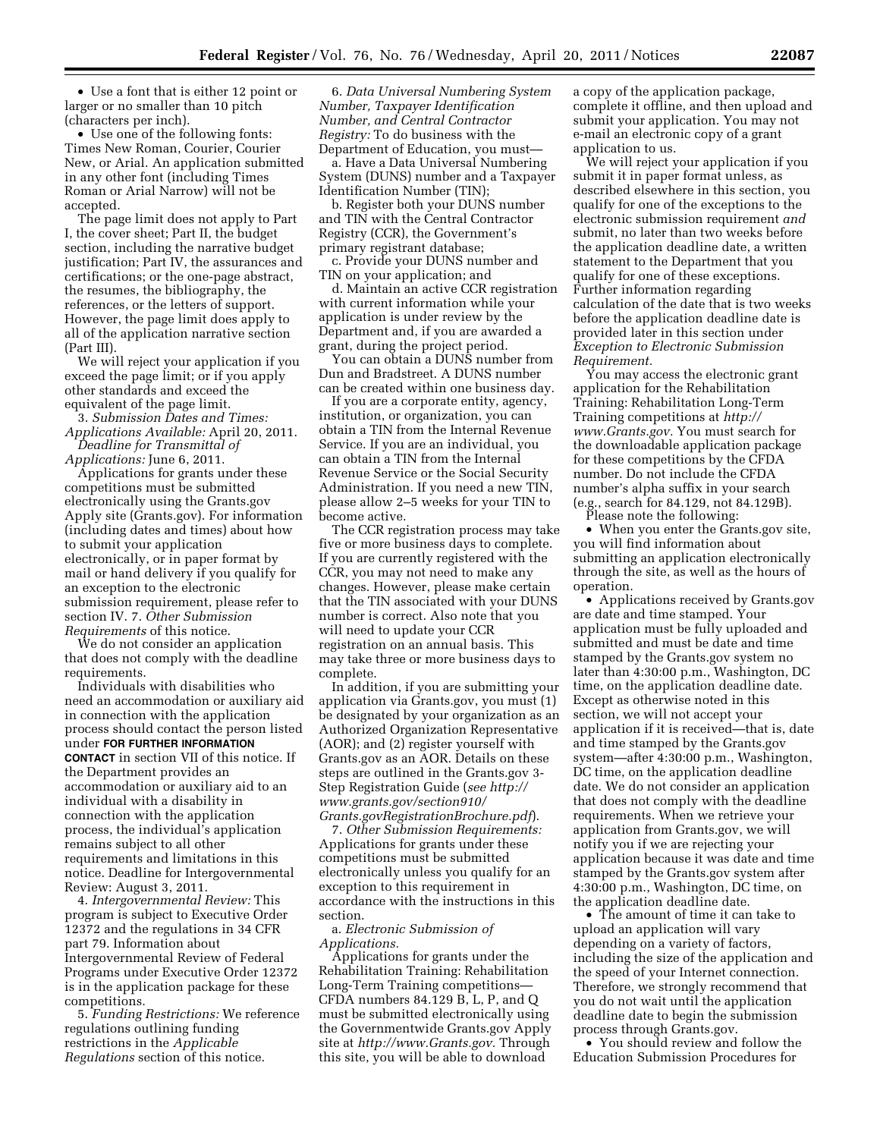• Use a font that is either 12 point or larger or no smaller than 10 pitch (characters per inch).

• Use one of the following fonts: Times New Roman, Courier, Courier New, or Arial. An application submitted in any other font (including Times Roman or Arial Narrow) will not be accepted.

The page limit does not apply to Part I, the cover sheet; Part II, the budget section, including the narrative budget justification; Part IV, the assurances and certifications; or the one-page abstract, the resumes, the bibliography, the references, or the letters of support. However, the page limit does apply to all of the application narrative section (Part III).

We will reject your application if you exceed the page limit; or if you apply other standards and exceed the equivalent of the page limit.

3. *Submission Dates and Times: Applications Available:* April 20, 2011.

*Deadline for Transmittal of Applications:* June 6, 2011.

Applications for grants under these competitions must be submitted electronically using the Grants.gov Apply site (Grants.gov). For information (including dates and times) about how to submit your application electronically, or in paper format by mail or hand delivery if you qualify for an exception to the electronic submission requirement, please refer to section IV. 7. *Other Submission Requirements* of this notice.

We do not consider an application that does not comply with the deadline requirements.

Individuals with disabilities who need an accommodation or auxiliary aid in connection with the application process should contact the person listed under **FOR FURTHER INFORMATION CONTACT** in section VII of this notice. If the Department provides an accommodation or auxiliary aid to an individual with a disability in connection with the application process, the individual's application remains subject to all other requirements and limitations in this notice. Deadline for Intergovernmental Review: August 3, 2011.

4. *Intergovernmental Review:* This program is subject to Executive Order 12372 and the regulations in 34 CFR part 79. Information about Intergovernmental Review of Federal Programs under Executive Order 12372 is in the application package for these competitions.

5. *Funding Restrictions:* We reference regulations outlining funding restrictions in the *Applicable Regulations* section of this notice.

6. *Data Universal Numbering System Number, Taxpayer Identification Number, and Central Contractor Registry:* To do business with the Department of Education, you must—

a. Have a Data Universal Numbering System (DUNS) number and a Taxpayer Identification Number (TIN);

b. Register both your DUNS number and TIN with the Central Contractor Registry (CCR), the Government's primary registrant database;

c. Provide your DUNS number and TIN on your application; and

d. Maintain an active CCR registration with current information while your application is under review by the Department and, if you are awarded a grant, during the project period.

You can obtain a DUNS number from Dun and Bradstreet. A DUNS number can be created within one business day.

If you are a corporate entity, agency, institution, or organization, you can obtain a TIN from the Internal Revenue Service. If you are an individual, you can obtain a TIN from the Internal Revenue Service or the Social Security Administration. If you need a new TIN, please allow 2–5 weeks for your TIN to become active.

The CCR registration process may take five or more business days to complete. If you are currently registered with the CCR, you may not need to make any changes. However, please make certain that the TIN associated with your DUNS number is correct. Also note that you will need to update your CCR registration on an annual basis. This may take three or more business days to complete.

In addition, if you are submitting your application via Grants.gov, you must (1) be designated by your organization as an Authorized Organization Representative (AOR); and (2) register yourself with Grants.gov as an AOR. Details on these steps are outlined in the Grants.gov 3- Step Registration Guide (*see [http://](http://www.grants.gov/section910/Grants.govRegistrationBrochure.pdf) [www.grants.gov/section910/](http://www.grants.gov/section910/Grants.govRegistrationBrochure.pdf) [Grants.govRegistrationBrochure.pdf](http://www.grants.gov/section910/Grants.govRegistrationBrochure.pdf)*).

7. *Other Submission Requirements:*  Applications for grants under these competitions must be submitted electronically unless you qualify for an exception to this requirement in accordance with the instructions in this section.

a. *Electronic Submission of Applications.* 

Applications for grants under the Rehabilitation Training: Rehabilitation Long-Term Training competitions— CFDA numbers 84.129 B, L, P, and Q must be submitted electronically using the Governmentwide Grants.gov Apply site at *[http://www.Grants.gov.](http://www.Grants.gov)* Through this site, you will be able to download

a copy of the application package, complete it offline, and then upload and submit your application. You may not e-mail an electronic copy of a grant application to us.

We will reject your application if you submit it in paper format unless, as described elsewhere in this section, you qualify for one of the exceptions to the electronic submission requirement *and*  submit, no later than two weeks before the application deadline date, a written statement to the Department that you qualify for one of these exceptions. Further information regarding calculation of the date that is two weeks before the application deadline date is provided later in this section under *Exception to Electronic Submission Requirement.* 

You may access the electronic grant application for the Rehabilitation Training: Rehabilitation Long-Term Training competitions at *[http://](http://www.Grants.gov)  [www.Grants.gov.](http://www.Grants.gov)* You must search for the downloadable application package for these competitions by the CFDA number. Do not include the CFDA number's alpha suffix in your search (e.g., search for 84.129, not 84.129B). Please note the following:

• When you enter the Grants.gov site, you will find information about submitting an application electronically through the site, as well as the hours of operation.

• Applications received by Grants.gov are date and time stamped. Your application must be fully uploaded and submitted and must be date and time stamped by the Grants.gov system no later than 4:30:00 p.m., Washington, DC time, on the application deadline date. Except as otherwise noted in this section, we will not accept your application if it is received—that is, date and time stamped by the Grants.gov system—after 4:30:00 p.m., Washington, DC time, on the application deadline date. We do not consider an application that does not comply with the deadline requirements. When we retrieve your application from Grants.gov, we will notify you if we are rejecting your application because it was date and time stamped by the Grants.gov system after 4:30:00 p.m., Washington, DC time, on the application deadline date.

• The amount of time it can take to upload an application will vary depending on a variety of factors, including the size of the application and the speed of your Internet connection. Therefore, we strongly recommend that you do not wait until the application deadline date to begin the submission process through Grants.gov.

• You should review and follow the Education Submission Procedures for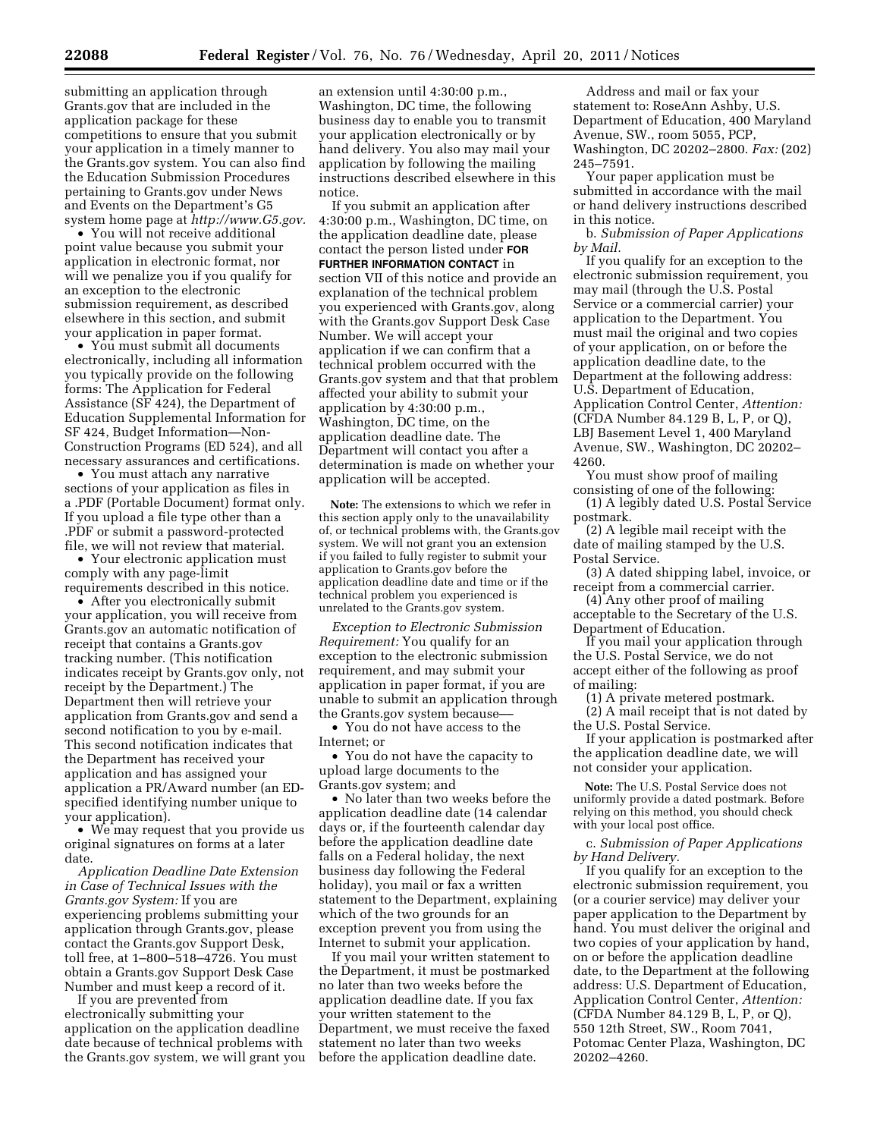submitting an application through Grants.gov that are included in the application package for these competitions to ensure that you submit your application in a timely manner to the Grants.gov system. You can also find the Education Submission Procedures pertaining to Grants.gov under News and Events on the Department's G5 system home page at *[http://www.G5.gov.](http://www.G5.gov)* 

• You will not receive additional point value because you submit your application in electronic format, nor will we penalize you if you qualify for an exception to the electronic submission requirement, as described elsewhere in this section, and submit your application in paper format.

• You must submit all documents electronically, including all information you typically provide on the following forms: The Application for Federal Assistance (SF 424), the Department of Education Supplemental Information for SF 424, Budget Information—Non-Construction Programs (ED 524), and all necessary assurances and certifications.

• You must attach any narrative sections of your application as files in a .PDF (Portable Document) format only. If you upload a file type other than a .PDF or submit a password-protected file, we will not review that material.

• Your electronic application must comply with any page-limit requirements described in this notice.

• After you electronically submit your application, you will receive from Grants.gov an automatic notification of receipt that contains a Grants.gov tracking number. (This notification indicates receipt by Grants.gov only, not receipt by the Department.) The Department then will retrieve your application from Grants.gov and send a second notification to you by e-mail. This second notification indicates that the Department has received your application and has assigned your application a PR/Award number (an EDspecified identifying number unique to your application).

• We may request that you provide us original signatures on forms at a later date.

*Application Deadline Date Extension in Case of Technical Issues with the Grants.gov System:* If you are experiencing problems submitting your application through Grants.gov, please contact the Grants.gov Support Desk, toll free, at 1–800–518–4726. You must obtain a Grants.gov Support Desk Case Number and must keep a record of it.

If you are prevented from electronically submitting your application on the application deadline date because of technical problems with the Grants.gov system, we will grant you

an extension until 4:30:00 p.m., Washington, DC time, the following business day to enable you to transmit your application electronically or by hand delivery. You also may mail your application by following the mailing instructions described elsewhere in this notice.

If you submit an application after 4:30:00 p.m., Washington, DC time, on the application deadline date, please contact the person listed under **FOR FURTHER INFORMATION CONTACT** in section VII of this notice and provide an explanation of the technical problem you experienced with Grants.gov, along with the Grants.gov Support Desk Case Number. We will accept your application if we can confirm that a technical problem occurred with the Grants.gov system and that that problem affected your ability to submit your application by 4:30:00 p.m., Washington, DC time, on the application deadline date. The Department will contact you after a determination is made on whether your application will be accepted.

**Note:** The extensions to which we refer in this section apply only to the unavailability of, or technical problems with, the Grants.gov system. We will not grant you an extension if you failed to fully register to submit your application to Grants.gov before the application deadline date and time or if the technical problem you experienced is unrelated to the Grants.gov system.

*Exception to Electronic Submission Requirement:* You qualify for an exception to the electronic submission requirement, and may submit your application in paper format, if you are unable to submit an application through the Grants.gov system because––

• You do not have access to the Internet; or

• You do not have the capacity to upload large documents to the Grants.gov system; and

• No later than two weeks before the application deadline date (14 calendar days or, if the fourteenth calendar day before the application deadline date falls on a Federal holiday, the next business day following the Federal holiday), you mail or fax a written statement to the Department, explaining which of the two grounds for an exception prevent you from using the Internet to submit your application.

If you mail your written statement to the Department, it must be postmarked no later than two weeks before the application deadline date. If you fax your written statement to the Department, we must receive the faxed statement no later than two weeks before the application deadline date.

Address and mail or fax your statement to: RoseAnn Ashby, U.S. Department of Education, 400 Maryland Avenue, SW., room 5055, PCP, Washington, DC 20202–2800. *Fax:* (202) 245–7591.

Your paper application must be submitted in accordance with the mail or hand delivery instructions described in this notice.

b. *Submission of Paper Applications by Mail.* 

If you qualify for an exception to the electronic submission requirement, you may mail (through the U.S. Postal Service or a commercial carrier) your application to the Department. You must mail the original and two copies of your application, on or before the application deadline date, to the Department at the following address: U.S. Department of Education, Application Control Center, *Attention:*  (CFDA Number 84.129 B, L, P, or Q), LBJ Basement Level 1, 400 Maryland Avenue, SW., Washington, DC 20202– 4260.

You must show proof of mailing consisting of one of the following: (1) A legibly dated U.S. Postal Service

postmark. (2) A legible mail receipt with the date of mailing stamped by the U.S.

Postal Service.

(3) A dated shipping label, invoice, or receipt from a commercial carrier.

(4) Any other proof of mailing acceptable to the Secretary of the U.S. Department of Education.

If you mail your application through the U.S. Postal Service, we do not accept either of the following as proof of mailing:

(1) A private metered postmark. (2) A mail receipt that is not dated by the U.S. Postal Service.

If your application is postmarked after the application deadline date, we will not consider your application.

**Note:** The U.S. Postal Service does not uniformly provide a dated postmark. Before relying on this method, you should check with your local post office.

c. *Submission of Paper Applications by Hand Delivery.* 

If you qualify for an exception to the electronic submission requirement, you (or a courier service) may deliver your paper application to the Department by hand. You must deliver the original and two copies of your application by hand, on or before the application deadline date, to the Department at the following address: U.S. Department of Education, Application Control Center, *Attention:*  (CFDA Number 84.129 B, L, P, or Q), 550 12th Street, SW., Room 7041, Potomac Center Plaza, Washington, DC 20202–4260.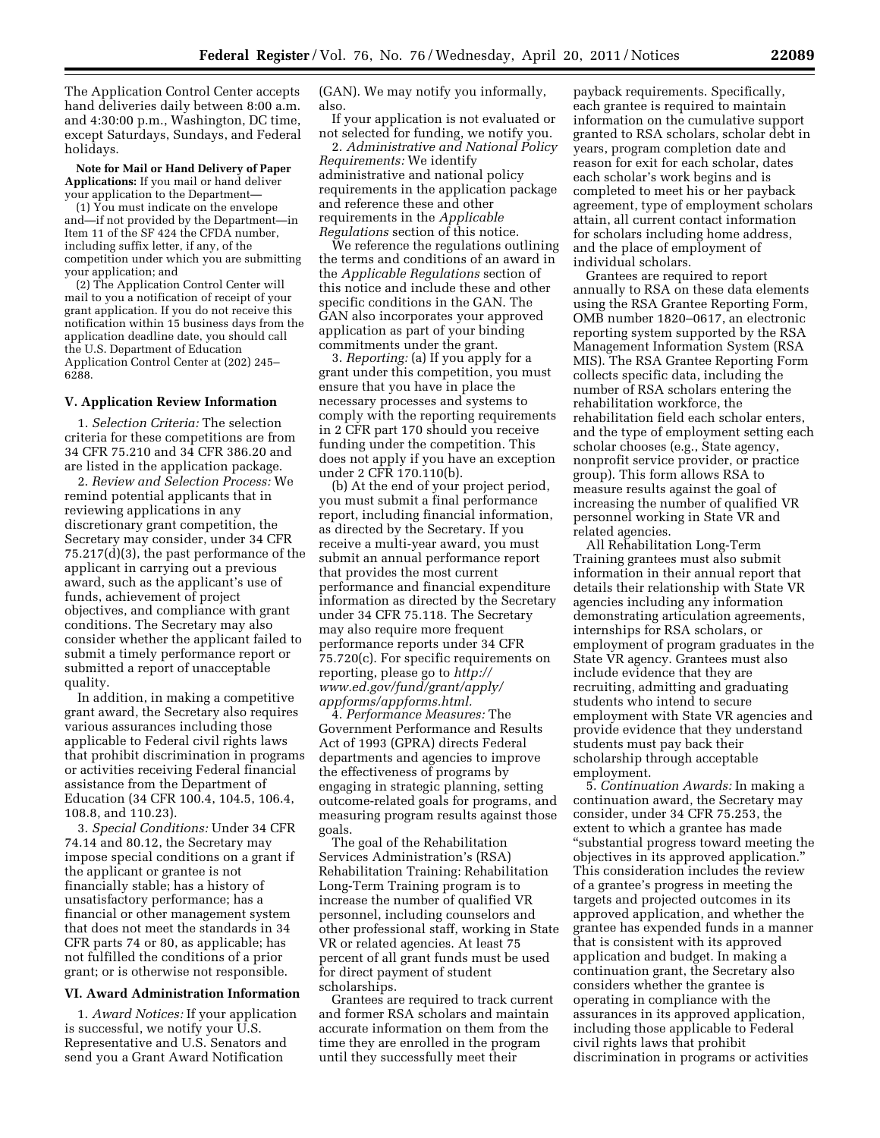The Application Control Center accepts hand deliveries daily between 8:00 a.m. and 4:30:00 p.m., Washington, DC time, except Saturdays, Sundays, and Federal holidays.

**Note for Mail or Hand Delivery of Paper Applications:** If you mail or hand deliver your application to the Department—

(1) You must indicate on the envelope and—if not provided by the Department—in Item 11 of the SF 424 the CFDA number, including suffix letter, if any, of the competition under which you are submitting your application; and

(2) The Application Control Center will mail to you a notification of receipt of your grant application. If you do not receive this notification within 15 business days from the application deadline date, you should call the U.S. Department of Education Application Control Center at (202) 245– 6288.

#### **V. Application Review Information**

1. *Selection Criteria:* The selection criteria for these competitions are from 34 CFR 75.210 and 34 CFR 386.20 and are listed in the application package.

2. *Review and Selection Process:* We remind potential applicants that in reviewing applications in any discretionary grant competition, the Secretary may consider, under 34 CFR 75.217(d)(3), the past performance of the applicant in carrying out a previous award, such as the applicant's use of funds, achievement of project objectives, and compliance with grant conditions. The Secretary may also consider whether the applicant failed to submit a timely performance report or submitted a report of unacceptable quality.

In addition, in making a competitive grant award, the Secretary also requires various assurances including those applicable to Federal civil rights laws that prohibit discrimination in programs or activities receiving Federal financial assistance from the Department of Education (34 CFR 100.4, 104.5, 106.4, 108.8, and 110.23).

3. *Special Conditions:* Under 34 CFR 74.14 and 80.12, the Secretary may impose special conditions on a grant if the applicant or grantee is not financially stable; has a history of unsatisfactory performance; has a financial or other management system that does not meet the standards in 34 CFR parts 74 or 80, as applicable; has not fulfilled the conditions of a prior grant; or is otherwise not responsible.

# **VI. Award Administration Information**

1. *Award Notices:* If your application is successful, we notify your U.S. Representative and U.S. Senators and send you a Grant Award Notification

(GAN). We may notify you informally, also.

If your application is not evaluated or not selected for funding, we notify you.

2. *Administrative and National Policy Requirements:* We identify administrative and national policy requirements in the application package and reference these and other requirements in the *Applicable Regulations* section of this notice.

We reference the regulations outlining the terms and conditions of an award in the *Applicable Regulations* section of this notice and include these and other specific conditions in the GAN. The GAN also incorporates your approved application as part of your binding commitments under the grant.

3. *Reporting:* (a) If you apply for a grant under this competition, you must ensure that you have in place the necessary processes and systems to comply with the reporting requirements in 2 CFR part 170 should you receive funding under the competition. This does not apply if you have an exception under 2 CFR 170.110(b).

(b) At the end of your project period, you must submit a final performance report, including financial information, as directed by the Secretary. If you receive a multi-year award, you must submit an annual performance report that provides the most current performance and financial expenditure information as directed by the Secretary under 34 CFR 75.118. The Secretary may also require more frequent performance reports under 34 CFR 75.720(c). For specific requirements on reporting, please go to *[http://](http://www.ed.gov/fund/grant/apply/appforms/appforms.html) [www.ed.gov/fund/grant/apply/](http://www.ed.gov/fund/grant/apply/appforms/appforms.html) [appforms/appforms.html.](http://www.ed.gov/fund/grant/apply/appforms/appforms.html)* 

4. *Performance Measures:* The Government Performance and Results Act of 1993 (GPRA) directs Federal departments and agencies to improve the effectiveness of programs by engaging in strategic planning, setting outcome-related goals for programs, and measuring program results against those goals.

The goal of the Rehabilitation Services Administration's (RSA) Rehabilitation Training: Rehabilitation Long-Term Training program is to increase the number of qualified VR personnel, including counselors and other professional staff, working in State VR or related agencies. At least 75 percent of all grant funds must be used for direct payment of student scholarships.

Grantees are required to track current and former RSA scholars and maintain accurate information on them from the time they are enrolled in the program until they successfully meet their

payback requirements. Specifically, each grantee is required to maintain information on the cumulative support granted to RSA scholars, scholar debt in years, program completion date and reason for exit for each scholar, dates each scholar's work begins and is completed to meet his or her payback agreement, type of employment scholars attain, all current contact information for scholars including home address, and the place of employment of individual scholars.

Grantees are required to report annually to RSA on these data elements using the RSA Grantee Reporting Form, OMB number 1820–0617, an electronic reporting system supported by the RSA Management Information System (RSA MIS). The RSA Grantee Reporting Form collects specific data, including the number of RSA scholars entering the rehabilitation workforce, the rehabilitation field each scholar enters, and the type of employment setting each scholar chooses (e.g., State agency, nonprofit service provider, or practice group). This form allows RSA to measure results against the goal of increasing the number of qualified VR personnel working in State VR and related agencies.

All Rehabilitation Long-Term Training grantees must also submit information in their annual report that details their relationship with State VR agencies including any information demonstrating articulation agreements, internships for RSA scholars, or employment of program graduates in the State VR agency. Grantees must also include evidence that they are recruiting, admitting and graduating students who intend to secure employment with State VR agencies and provide evidence that they understand students must pay back their scholarship through acceptable employment.

5. *Continuation Awards:* In making a continuation award, the Secretary may consider, under 34 CFR 75.253, the extent to which a grantee has made ''substantial progress toward meeting the objectives in its approved application.'' This consideration includes the review of a grantee's progress in meeting the targets and projected outcomes in its approved application, and whether the grantee has expended funds in a manner that is consistent with its approved application and budget. In making a continuation grant, the Secretary also considers whether the grantee is operating in compliance with the assurances in its approved application, including those applicable to Federal civil rights laws that prohibit discrimination in programs or activities